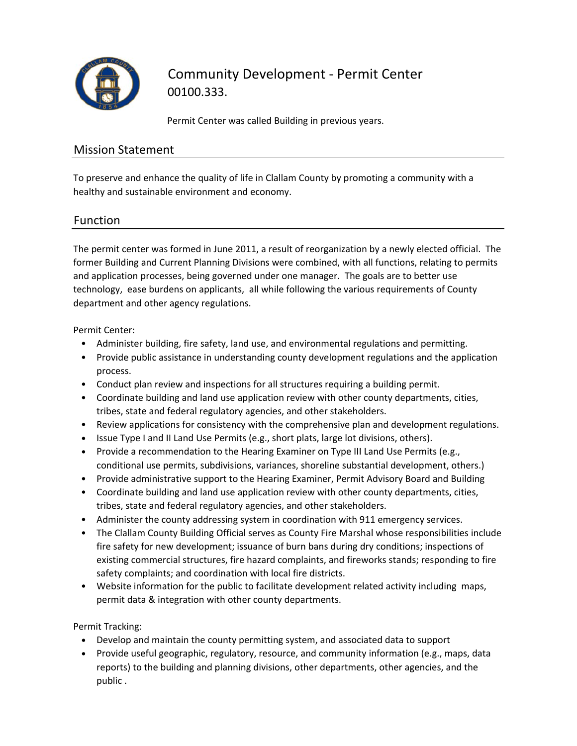

# Community Development ‐ Permit Center 00100.333.

Permit Center was called Building in previous years.

#### Mission Statement

To preserve and enhance the quality of life in Clallam County by promoting a community with a healthy and sustainable environment and economy.

### Function

The permit center was formed in June 2011, a result of reorganization by a newly elected official. The former Building and Current Planning Divisions were combined, with all functions, relating to permits and application processes, being governed under one manager. The goals are to better use technology, ease burdens on applicants, all while following the various requirements of County department and other agency regulations.

Permit Center:

- Administer building, fire safety, land use, and environmental regulations and permitting.
- Provide public assistance in understanding county development regulations and the application process.
- Conduct plan review and inspections for all structures requiring a building permit.
- Coordinate building and land use application review with other county departments, cities, tribes, state and federal regulatory agencies, and other stakeholders.
- Review applications for consistency with the comprehensive plan and development regulations.
- Issue Type I and II Land Use Permits (e.g., short plats, large lot divisions, others).
- Provide a recommendation to the Hearing Examiner on Type III Land Use Permits (e.g., conditional use permits, subdivisions, variances, shoreline substantial development, others.)
- Provide administrative support to the Hearing Examiner, Permit Advisory Board and Building
- Coordinate building and land use application review with other county departments, cities, tribes, state and federal regulatory agencies, and other stakeholders.
- Administer the county addressing system in coordination with 911 emergency services.
- The Clallam County Building Official serves as County Fire Marshal whose responsibilities include fire safety for new development; issuance of burn bans during dry conditions; inspections of existing commercial structures, fire hazard complaints, and fireworks stands; responding to fire safety complaints; and coordination with local fire districts.
- Website information for the public to facilitate development related activity including maps, permit data & integration with other county departments.

Permit Tracking:

- Develop and maintain the county permitting system, and associated data to support
- Provide useful geographic, regulatory, resource, and community information (e.g., maps, data reports) to the building and planning divisions, other departments, other agencies, and the public .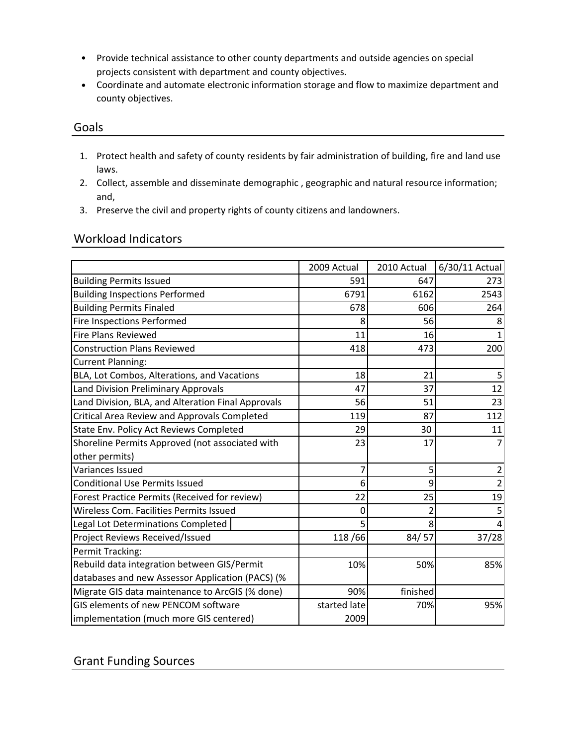- Provide technical assistance to other county departments and outside agencies on special projects consistent with department and county objectives.
- Coordinate and automate electronic information storage and flow to maximize department and county objectives.

#### Goals

- 1. Protect health and safety of county residents by fair administration of building, fire and land use laws.
- 2. Collect, assemble and disseminate demographic , geographic and natural resource information; and,
- 3. Preserve the civil and property rights of county citizens and landowners.

#### Workload Indicators

|                                                    | 2009 Actual  | 2010 Actual | 6/30/11 Actual |
|----------------------------------------------------|--------------|-------------|----------------|
| <b>Building Permits Issued</b>                     | 591          | 647         | 273            |
| <b>Building Inspections Performed</b>              | 6791         | 6162        | 2543           |
| <b>Building Permits Finaled</b>                    | 678          | 606         | 264            |
| <b>Fire Inspections Performed</b>                  | 8            | 56          |                |
| <b>Fire Plans Reviewed</b>                         | 11           | 16          |                |
| <b>Construction Plans Reviewed</b>                 | 418          | 473         | 200            |
| <b>Current Planning:</b>                           |              |             |                |
| BLA, Lot Combos, Alterations, and Vacations        | 18           | 21          | 5              |
| Land Division Preliminary Approvals                | 47           | 37          | 12             |
| Land Division, BLA, and Alteration Final Approvals | 56           | 51          | 23             |
| Critical Area Review and Approvals Completed       | 119          | 87          | 112            |
| State Env. Policy Act Reviews Completed            | 29           | 30          | 11             |
| Shoreline Permits Approved (not associated with    | 23           | 17          |                |
| other permits)                                     |              |             |                |
| Variances Issued                                   | 7            | 5           |                |
| <b>Conditional Use Permits Issued</b>              | 6            | 9           |                |
| Forest Practice Permits (Received for review)      | 22           | 25          | 19             |
| Wireless Com. Facilities Permits Issued            | 0            |             |                |
| Legal Lot Determinations Completed                 | 5            | 8           |                |
| Project Reviews Received/Issued                    | 118/66       | 84/57       | 37/28          |
| Permit Tracking:                                   |              |             |                |
| Rebuild data integration between GIS/Permit        | 10%          | 50%         | 85%            |
| databases and new Assessor Application (PACS) (%   |              |             |                |
| Migrate GIS data maintenance to ArcGIS (% done)    | 90%          | finished    |                |
| GIS elements of new PENCOM software                | started late | 70%         | 95%            |
| implementation (much more GIS centered)            | 2009         |             |                |

Grant Funding Sources